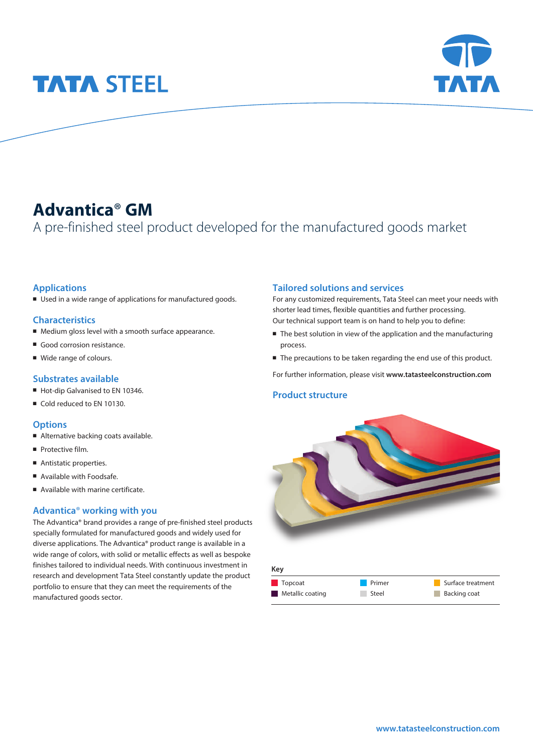# **TATA STEEL**



# **Advantica**® **GM**

A pre-finished steel product developed for the manufactured goods market

# **Applications**

■ Used in a wide range of applications for manufactured goods.

# **Characteristics**

- Medium gloss level with a smooth surface appearance.
- Good corrosion resistance.
- Wide range of colours.

## **Substrates available**

- Hot-dip Galvanised to EN 10346.
- Cold reduced to EN 10130.

### **Options**

- Alternative backing coats available.
- **Protective film.**
- Antistatic properties.
- Available with Foodsafe.
- Available with marine certificate.

## **Advantica**® **working with you**

The Advantica® brand provides a range of pre-finished steel products specially formulated for manufactured goods and widely used for diverse applications. The Advantica® product range is available in a wide range of colors, with solid or metallic effects as well as bespoke finishes tailored to individual needs. With continuous investment in research and development Tata Steel constantly update the product portfolio to ensure that they can meet the requirements of the manufactured goods sector.

### **Tailored solutions and services**

For any customized requirements, Tata Steel can meet your needs with shorter lead times, flexible quantities and further processing. Our technical support team is on hand to help you to define:

- The best solution in view of the application and the manufacturing process.
- The precautions to be taken regarding the end use of this product.

For further information, please visit **www.tatasteelconstruction.com**

## **Product structure**